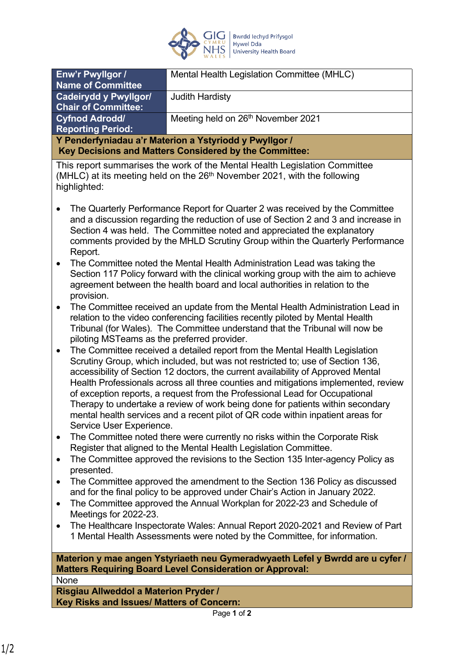

| Enw'r Pwyllgor /                                                                                                                                                                                                                                                                                                                                                                                                                                                                                                                                                                                                                     | Mental Health Legislation Committee (MHLC)                                                                                                                 |
|--------------------------------------------------------------------------------------------------------------------------------------------------------------------------------------------------------------------------------------------------------------------------------------------------------------------------------------------------------------------------------------------------------------------------------------------------------------------------------------------------------------------------------------------------------------------------------------------------------------------------------------|------------------------------------------------------------------------------------------------------------------------------------------------------------|
| <b>Name of Committee</b>                                                                                                                                                                                                                                                                                                                                                                                                                                                                                                                                                                                                             |                                                                                                                                                            |
| <b>Cadeirydd y Pwyllgor/</b><br><b>Chair of Committee:</b>                                                                                                                                                                                                                                                                                                                                                                                                                                                                                                                                                                           | <b>Judith Hardisty</b>                                                                                                                                     |
| <b>Cyfnod Adrodd/</b><br><b>Reporting Period:</b>                                                                                                                                                                                                                                                                                                                                                                                                                                                                                                                                                                                    | Meeting held on 26th November 2021                                                                                                                         |
| Y Penderfyniadau a'r Materion a Ystyriodd y Pwyllgor /                                                                                                                                                                                                                                                                                                                                                                                                                                                                                                                                                                               |                                                                                                                                                            |
| Key Decisions and Matters Considered by the Committee:                                                                                                                                                                                                                                                                                                                                                                                                                                                                                                                                                                               |                                                                                                                                                            |
| This report summarises the work of the Mental Health Legislation Committee<br>(MHLC) at its meeting held on the 26 <sup>th</sup> November 2021, with the following<br>highlighted:                                                                                                                                                                                                                                                                                                                                                                                                                                                   |                                                                                                                                                            |
| The Quarterly Performance Report for Quarter 2 was received by the Committee<br>and a discussion regarding the reduction of use of Section 2 and 3 and increase in<br>Section 4 was held. The Committee noted and appreciated the explanatory<br>comments provided by the MHLD Scrutiny Group within the Quarterly Performance<br>Report.                                                                                                                                                                                                                                                                                            |                                                                                                                                                            |
| The Committee noted the Mental Health Administration Lead was taking the<br>$\bullet$<br>Section 117 Policy forward with the clinical working group with the aim to achieve<br>agreement between the health board and local authorities in relation to the<br>provision.                                                                                                                                                                                                                                                                                                                                                             |                                                                                                                                                            |
| The Committee received an update from the Mental Health Administration Lead in<br>$\bullet$<br>relation to the video conferencing facilities recently piloted by Mental Health<br>Tribunal (for Wales). The Committee understand that the Tribunal will now be<br>piloting MSTeams as the preferred provider.                                                                                                                                                                                                                                                                                                                        |                                                                                                                                                            |
| The Committee received a detailed report from the Mental Health Legislation<br>$\bullet$<br>Scrutiny Group, which included, but was not restricted to; use of Section 136,<br>accessibility of Section 12 doctors, the current availability of Approved Mental<br>Health Professionals across all three counties and mitigations implemented, review<br>of exception reports, a request from the Professional Lead for Occupational<br>Therapy to undertake a review of work being done for patients within secondary<br>mental health services and a recent pilot of QR code within inpatient areas for<br>Service User Experience. |                                                                                                                                                            |
| The Committee noted there were currently no risks within the Corporate Risk<br>$\bullet$<br>Register that aligned to the Mental Health Legislation Committee.                                                                                                                                                                                                                                                                                                                                                                                                                                                                        |                                                                                                                                                            |
| The Committee approved the revisions to the Section 135 Inter-agency Policy as<br>$\bullet$<br>presented.                                                                                                                                                                                                                                                                                                                                                                                                                                                                                                                            |                                                                                                                                                            |
| The Committee approved the amendment to the Section 136 Policy as discussed<br>$\bullet$<br>and for the final policy to be approved under Chair's Action in January 2022.                                                                                                                                                                                                                                                                                                                                                                                                                                                            |                                                                                                                                                            |
| The Committee approved the Annual Workplan for 2022-23 and Schedule of<br>$\bullet$<br>Meetings for 2022-23.                                                                                                                                                                                                                                                                                                                                                                                                                                                                                                                         |                                                                                                                                                            |
| $\bullet$                                                                                                                                                                                                                                                                                                                                                                                                                                                                                                                                                                                                                            | The Healthcare Inspectorate Wales: Annual Report 2020-2021 and Review of Part<br>1 Mental Health Assessments were noted by the Committee, for information. |
| Materion y mae angen Ystyriaeth neu Gymeradwyaeth Lefel y Bwrdd are u cyfer /<br><b>Matters Requiring Board Level Consideration or Approval:</b>                                                                                                                                                                                                                                                                                                                                                                                                                                                                                     |                                                                                                                                                            |

**None** 

**Risgiau Allweddol a Materion Pryder / Key Risks and Issues/ Matters of Concern:**